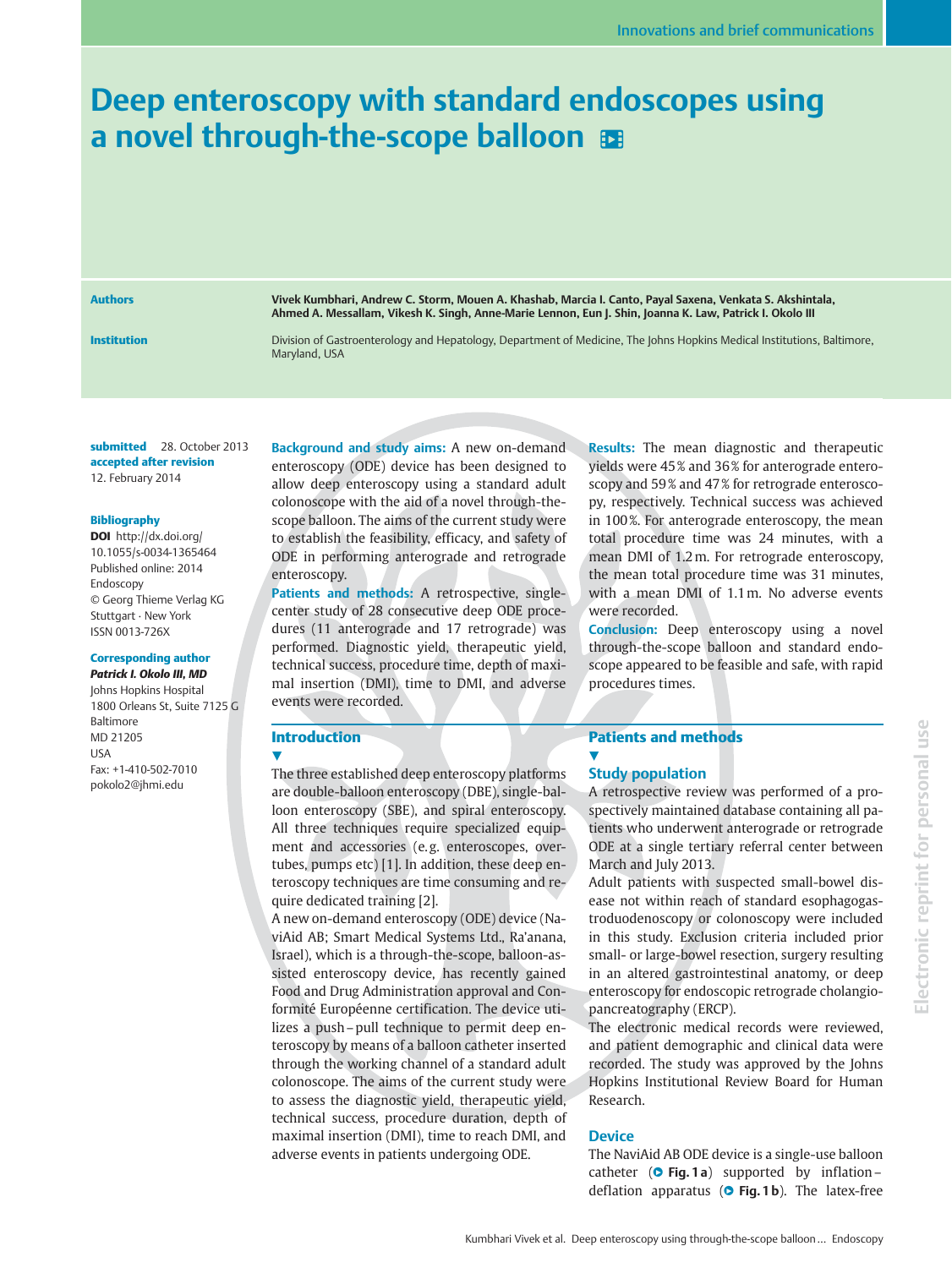# Deep enteroscopy with standard endoscopes using a novel through-the-scope balloon  $\mathbf{E}$

Authors Vivek Kumbhari, Andrew C. Storm, Mouen A. Khashab, Marcia I. Canto, Payal Saxena, Venkata S. Akshintala, Ahmed A. Messallam, Vikesh K. Singh, Anne-Marie Lennon, Eun J. Shin, Joanna K. Law, Patrick I. Okolo III

Institution **Division of Gastroenterology and Hepatology**, Department of Medicine, The Johns Hopkins Medical Institutions, Baltimore, Maryland, USA

submitted 28. October 2013 accepted after revision 12. February 2014

#### Bibliography

DOI http://dx.doi.org/ 10.1055/s-0034-1365464 Published online: 2014 Endoscopy © Georg Thieme Verlag KG Stuttgart · New York ISSN 0013-726X

# Corresponding author

Patrick I. Okolo III, MD Johns Hopkins Hospital 1800 Orleans St, Suite 7125 G Baltimore MD 21205 USA Fax: +1-410-502-7010 pokolo2@jhmi.edu

Background and study aims: A new on-demand enteroscopy (ODE) device has been designed to allow deep enteroscopy using a standard adult colonoscope with the aid of a novel through-thescope balloon. The aims of the current study were to establish the feasibility, efficacy, and safety of ODE in performing anterograde and retrograde enteroscopy.

Patients and methods: A retrospective, singlecenter study of 28 consecutive deep ODE procedures (11 anterograde and 17 retrograde) was performed. Diagnostic yield, therapeutic yield, technical success, procedure time, depth of maximal insertion (DMI), time to DMI, and adverse events were recorded.

# Introduction

**17** 

The three established deep enteroscopy platforms are double-balloon enteroscopy (DBE), single-balloon enteroscopy (SBE), and spiral enteroscopy. All three techniques require specialized equipment and accessories (e.g. enteroscopes, overtubes, pumps etc) [1]. In addition, these deep enteroscopy techniques are time consuming and require dedicated training [2].

A new on-demand enteroscopy (ODE) device (NaviAid AB; Smart Medical Systems Ltd., Ra'anana, Israel), which is a through-the-scope, balloon-assisted enteroscopy device, has recently gained Food and Drug Administration approval and Conformité Européenne certification. The device utilizes a push–pull technique to permit deep enteroscopy by means of a balloon catheter inserted through the working channel of a standard adult colonoscope. The aims of the current study were to assess the diagnostic yield, therapeutic yield, technical success, procedure duration, depth of maximal insertion (DMI), time to reach DMI, and adverse events in patients undergoing ODE.

Results: The mean diagnostic and therapeutic yields were 45 % and 36 % for anterograde enteroscopy and 59 % and 47 % for retrograde enteroscopy, respectively. Technical success was achieved in 100%. For anterograde enteroscopy, the mean total procedure time was 24 minutes, with a mean DMI of 1.2m. For retrograde enteroscopy, the mean total procedure time was 31 minutes, with a mean DMI of 1.1m. No adverse events were recorded.

Conclusion: Deep enteroscopy using a novel through-the-scope balloon and standard endoscope appeared to be feasible and safe, with rapid procedures times.

#### Patients and methods **.**

# Study population

A retrospective review was performed of a prospectively maintained database containing all patients who underwent anterograde or retrograde ODE at a single tertiary referral center between March and July 2013.

Adult patients with suspected small-bowel disease not within reach of standard esophagogastroduodenoscopy or colonoscopy were included in this study. Exclusion criteria included prior small- or large-bowel resection, surgery resulting in an altered gastrointestinal anatomy, or deep enteroscopy for endoscopic retrograde cholangiopancreatography (ERCP).

The electronic medical records were reviewed, and patient demographic and clinical data were recorded. The study was approved by the Johns Hopkins Institutional Review Board for Human Research.

## **Device**

The NaviAid AB ODE device is a single-use balloon catheter ( $\bullet$  Fig. 1 a) supported by inflation– deflation apparatus ( $\circ$  Fig. 1b). The latex-free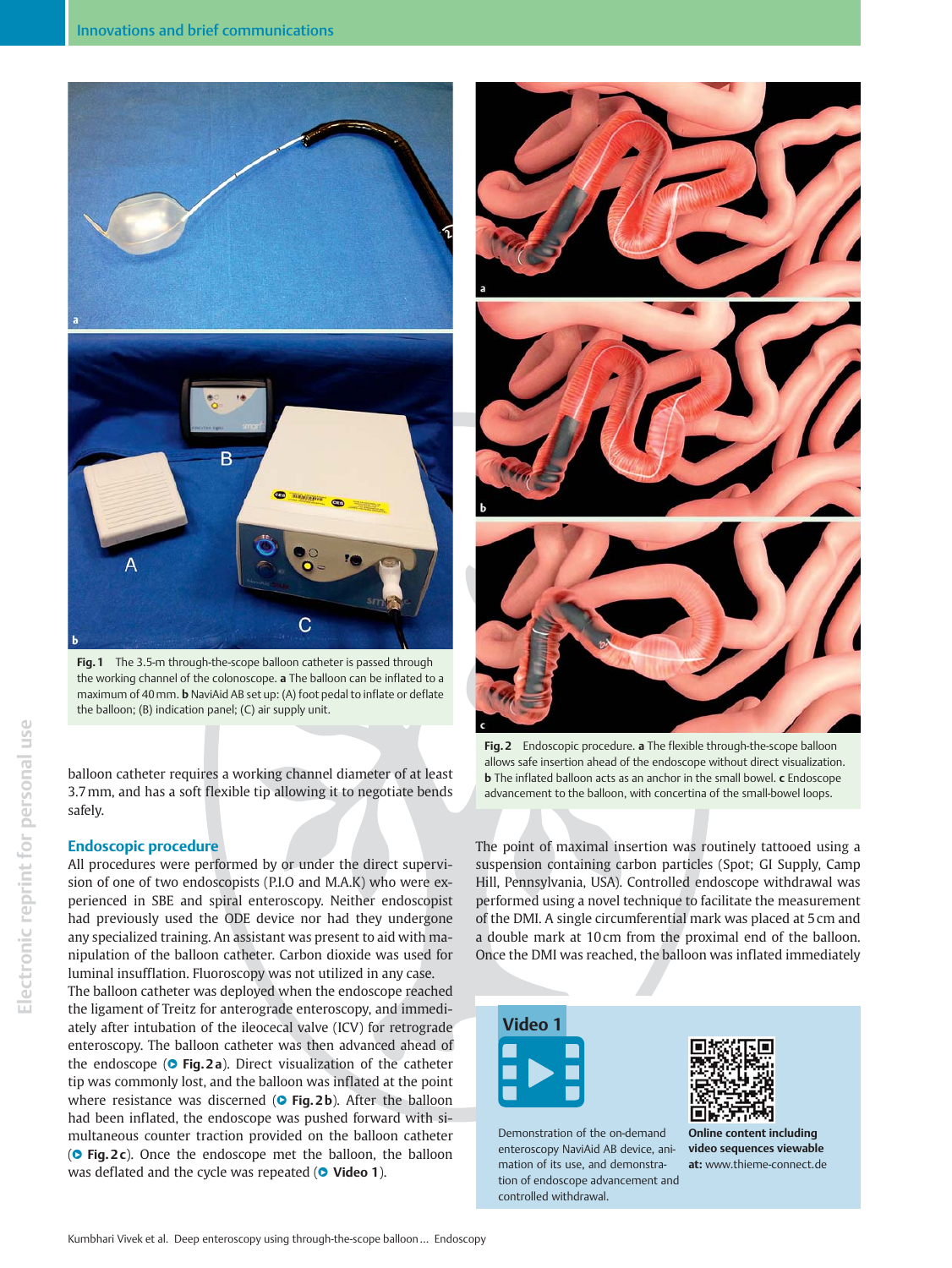

Fig. 1 The 3.5-m through-the-scope balloon catheter is passed through the working channel of the colonoscope. a The balloon can be inflated to a maximum of 40 mm. **b** NaviAid AB set up: (A) foot pedal to inflate or deflate the balloon; (B) indication panel; (C) air supply unit.

balloon catheter requires a working channel diameter of at least 3.7mm, and has a soft flexible tip allowing it to negotiate bends safely.

## Endoscopic procedure

All procedures were performed by or under the direct supervision of one of two endoscopists (P.I.O and M.A.K) who were experienced in SBE and spiral enteroscopy. Neither endoscopist had previously used the ODE device nor had they undergone any specialized training. An assistant was present to aid with manipulation of the balloon catheter. Carbon dioxide was used for luminal insufflation. Fluoroscopy was not utilized in any case.

The balloon catheter was deployed when the endoscope reached the ligament of Treitz for anterograde enteroscopy, and immediately after intubation of the ileocecal valve (ICV) for retrograde enteroscopy. The balloon catheter was then advanced ahead of the endoscope ( $\bullet$  Fig. 2a). Direct visualization of the catheter tip was commonly lost, and the balloon was inflated at the point where resistance was discerned ( $\circ$  Fig. 2b). After the balloon had been inflated, the endoscope was pushed forward with simultaneous counter traction provided on the balloon catheter ( $\circ$  Fig. 2 c). Once the endoscope met the balloon, the balloon was deflated and the cycle was repeated ( $\bullet$  Video 1).



Fig. 2 Endoscopic procedure. a The flexible through-the-scope balloon allows safe insertion ahead of the endoscope without direct visualization. **b** The inflated balloon acts as an anchor in the small bowel. c Endoscope advancement to the balloon, with concertina of the small-bowel loops.

The point of maximal insertion was routinely tattooed using a suspension containing carbon particles (Spot; GI Supply, Camp Hill, Pennsylvania, USA). Controlled endoscope withdrawal was performed using a novel technique to facilitate the measurement of the DMI. A single circumferential mark was placed at 5 cm and a double mark at 10 cm from the proximal end of the balloon. Once the DMI was reached, the balloon was inflated immediately



Demonstration of the on-demand enteroscopy NaviAid AB device, animation of its use, and demonstration of endoscope advancement and controlled withdrawal.



Online content including video sequences viewable at: www.thieme-connect.de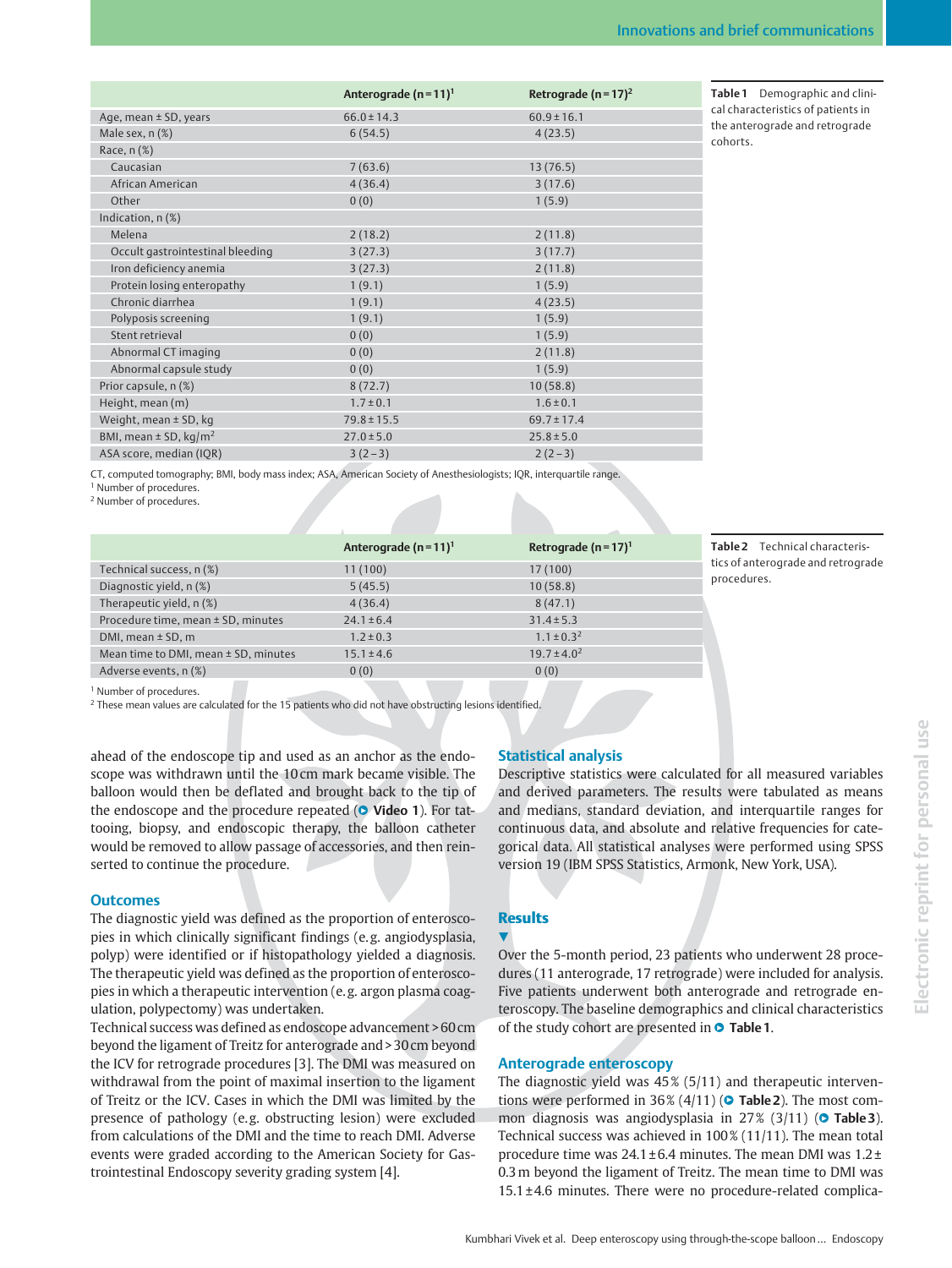|                                       | Anterograde ( $n = 11$ ) <sup>1</sup> | Retrograde ( $n = 17$ ) <sup>2</sup> |
|---------------------------------------|---------------------------------------|--------------------------------------|
| Age, mean ± SD, years                 | $66.0 \pm 14.3$                       | $60.9 \pm 16.1$                      |
| Male sex, n (%)                       | 6(54.5)                               | 4(23.5)                              |
| Race, $n$ $(\%)$                      |                                       |                                      |
| Caucasian                             | 7(63.6)                               | 13(76.5)                             |
| African American                      | 4(36.4)                               | 3(17.6)                              |
| Other                                 | 0(0)                                  | 1(5.9)                               |
| Indication, $n$ $(\%)$                |                                       |                                      |
| Melena                                | 2(18.2)                               | 2(11.8)                              |
| Occult gastrointestinal bleeding      | 3(27.3)                               | 3(17.7)                              |
| Iron deficiency anemia                | 3(27.3)                               | 2(11.8)                              |
| Protein losing enteropathy            | 1(9.1)                                | 1(5.9)                               |
| Chronic diarrhea                      | 1(9.1)                                | 4(23.5)                              |
| Polyposis screening                   | 1(9.1)                                | 1(5.9)                               |
| Stent retrieval                       | 0(0)                                  | 1(5.9)                               |
| Abnormal CT imaging                   | 0(0)                                  | 2(11.8)                              |
| Abnormal capsule study                | 0(0)                                  | 1(5.9)                               |
| Prior capsule, n (%)                  | 8(72.7)                               | 10(58.8)                             |
| Height, mean (m)                      | $1.7 \pm 0.1$                         | $1.6 \pm 0.1$                        |
| Weight, mean $\pm$ SD, kg             | $79.8 \pm 15.5$                       | $69.7 \pm 17.4$                      |
| BMI, mean $\pm$ SD, kg/m <sup>2</sup> | $27.0 \pm 5.0$                        | $25.8 \pm 5.0$                       |
| ASA score, median (IQR)               | $3(2-3)$                              | $2(2-3)$                             |
|                                       |                                       |                                      |

Table 1 Demographic and clinical characteristics of patients in the anterograde and retrograde cohorts.

CT, computed tomography; BMI, body mass index; ASA, American Society of Anesthesiologists; IQR, interquartile range.

<sup>1</sup> Number of procedures.

<sup>2</sup> Number of procedures.

|                                          | Anterograde $(n=11)^1$ | Retrograde (n=17) <sup>1</sup> | Ta  |
|------------------------------------------|------------------------|--------------------------------|-----|
| Technical success, n (%)                 | 11(100)                | 17(100)                        | tic |
| Diagnostic yield, n (%)                  | 5(45.5)                | 10(58.8)                       | pr  |
| Therapeutic yield, n (%)                 | 4(36.4)                | 8(47.1)                        |     |
| Procedure time, mean ± SD, minutes       | $24.1 \pm 6.4$         | $31.4 \pm 5.3$                 |     |
| DMI, mean $\pm$ SD, m                    | $1.2 \pm 0.3$          | $1.1 \pm 0.3^2$                |     |
| Mean time to DMI, mean $\pm$ SD, minutes | $15.1 \pm 4.6$         | $19.7 \pm 4.0^2$               |     |
| Adverse events, n (%)                    | 0(0)                   | 0(0)                           |     |
|                                          |                        |                                |     |

**ble 2** Technical characterists of anterograde and retrograde ocedures.

<sup>1</sup> Number of procedures.

<sup>2</sup> These mean values are calculated for the 15 patients who did not have obstructing lesions identified.

ahead of the endoscope tip and used as an anchor as the endoscope was withdrawn until the 10 cm mark became visible. The balloon would then be deflated and brought back to the tip of the endoscope and the procedure repeated  $(①$  Video 1). For tattooing, biopsy, and endoscopic therapy, the balloon catheter would be removed to allow passage of accessories, and then reinserted to continue the procedure.

## **Outcomes**

The diagnostic yield was defined as the proportion of enteroscopies in which clinically significant findings (e. g. angiodysplasia, polyp) were identified or if histopathology yielded a diagnosis. The therapeutic yield was defined as the proportion of enteroscopies in which a therapeutic intervention (e. g. argon plasma coagulation, polypectomy) was undertaken.

Technical success was defined as endoscope advancement > 60 cm beyond the ligament of Treitz for anterograde and > 30 cm beyond the ICV for retrograde procedures [3]. The DMI was measured on withdrawal from the point of maximal insertion to the ligament of Treitz or the ICV. Cases in which the DMI was limited by the presence of pathology (e. g. obstructing lesion) were excluded from calculations of the DMI and the time to reach DMI. Adverse events were graded according to the American Society for Gastrointestinal Endoscopy severity grading system [4].

# Statistical analysis

Descriptive statistics were calculated for all measured variables and derived parameters. The results were tabulated as means and medians, standard deviation, and interquartile ranges for continuous data, and absolute and relative frequencies for categorical data. All statistical analyses were performed using SPSS version 19 (IBM SPSS Statistics, Armonk, New York, USA).

# **Results**

### **V**

Over the 5-month period, 23 patients who underwent 28 procedures (11 anterograde, 17 retrograde) were included for analysis. Five patients underwent both anterograde and retrograde enteroscopy. The baseline demographics and clinical characteristics of the study cohort are presented in  $\bullet$  Table 1.

# Anterograde enteroscopy

The diagnostic yield was 45 % (5/11) and therapeutic interventions were performed in 36%  $(4/11)$  ( $\bullet$  Table 2). The most common diagnosis was angiodysplasia in  $27\%$  (3/11) ( $\circ$  Table 3). Technical success was achieved in 100 % (11/11). The mean total procedure time was  $24.1 \pm 6.4$  minutes. The mean DMI was  $1.2 \pm$ 0.3m beyond the ligament of Treitz. The mean time to DMI was  $15.1 \pm 4.6$  minutes. There were no procedure-related complica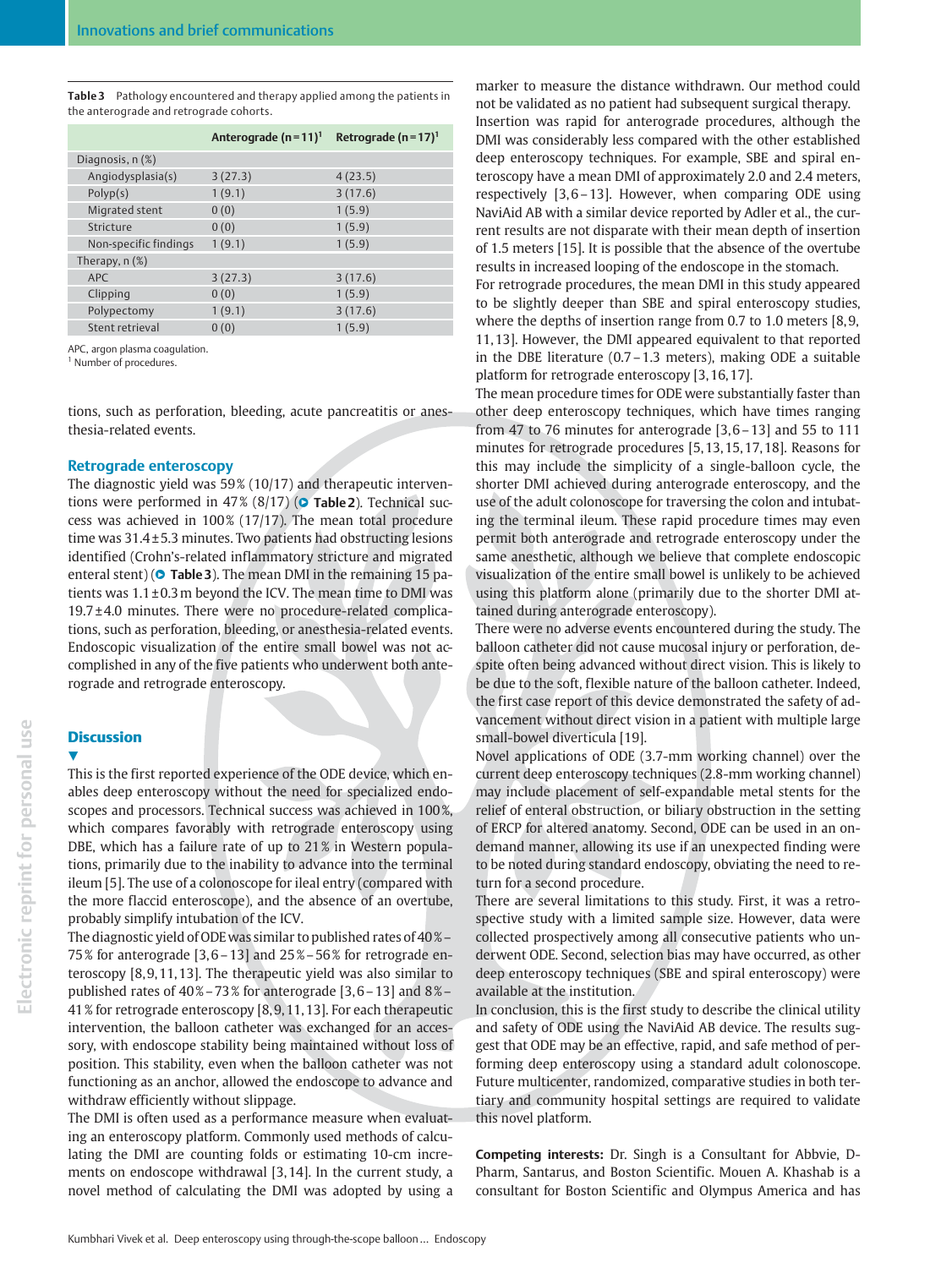Table 3 Pathology encountered and therapy applied among the patients in the anterograde and retrograde cohorts.

|                       | Anterograde $(n=11)^1$ | Retrograde ( $n = 17$ ) <sup>1</sup> |
|-----------------------|------------------------|--------------------------------------|
| Diagnosis, n (%)      |                        |                                      |
| Angiodysplasia(s)     | 3(27.3)                | 4(23.5)                              |
| Polyp(s)              | 1(9.1)                 | 3(17.6)                              |
| Migrated stent        | 0(0)                   | 1(5.9)                               |
| Stricture             | 0(0)                   | 1(5.9)                               |
| Non-specific findings | 1(9.1)                 | 1(5.9)                               |
| Therapy, $n$ $(\%)$   |                        |                                      |
| <b>APC</b>            | 3(27.3)                | 3(17.6)                              |
| Clipping              | 0(0)                   | 1(5.9)                               |
| Polypectomy           | 1(9.1)                 | 3(17.6)                              |
| Stent retrieval       | 0(0)                   | 1(5.9)                               |

APC, argon plasma coagulation.

<sup>1</sup> Number of procedures.

tions, such as perforation, bleeding, acute pancreatitis or anesthesia-related events.

#### Retrograde enteroscopy

The diagnostic yield was 59% (10/17) and therapeutic interventions were performed in 47%  $(8/17)$  ( $\bullet$  Table 2). Technical success was achieved in  $100\%$  (17/17). The mean total procedure time was  $31.4 \pm 5.3$  minutes. Two patients had obstructing lesions identified (Crohn's-related inflammatory stricture and migrated enteral stent) ( $\circ$  Table 3). The mean DMI in the remaining 15 patients was  $1.1 \pm 0.3$  m beyond the ICV. The mean time to DMI was 19.7 ± 4.0 minutes. There were no procedure-related complications, such as perforation, bleeding, or anesthesia-related events. Endoscopic visualization of the entire small bowel was not accomplished in any of the five patients who underwent both anterograde and retrograde enteroscopy.

### **Discussion**

**.** 

This is the first reported experience of the ODE device, which enables deep enteroscopy without the need for specialized endoscopes and processors. Technical success was achieved in 100 %, which compares favorably with retrograde enteroscopy using DBE, which has a failure rate of up to 21% in Western populations, primarily due to the inability to advance into the terminal ileum [5]. The use of a colonoscope for ileal entry (compared with the more flaccid enteroscope), and the absence of an overtube, probably simplify intubation of the ICV.

The diagnostic yield of ODEwas similar to published rates of 40 %– 75 % for anterograde [3, 6–13] and 25 %–56 % for retrograde enteroscopy [8, 9, 11, 13]. The therapeutic yield was also similar to published rates of  $40\% - 73\%$  for anterograde [3,6 – 13] and  $8\%$  – 41 % for retrograde enteroscopy [8, 9, 11, 13]. For each therapeutic intervention, the balloon catheter was exchanged for an accessory, with endoscope stability being maintained without loss of position. This stability, even when the balloon catheter was not functioning as an anchor, allowed the endoscope to advance and withdraw efficiently without slippage.

The DMI is often used as a performance measure when evaluating an enteroscopy platform. Commonly used methods of calculating the DMI are counting folds or estimating 10-cm increments on endoscope withdrawal [3, 14]. In the current study, a novel method of calculating the DMI was adopted by using a marker to measure the distance withdrawn. Our method could not be validated as no patient had subsequent surgical therapy. Insertion was rapid for anterograde procedures, although the DMI was considerably less compared with the other established deep enteroscopy techniques. For example, SBE and spiral enteroscopy have a mean DMI of approximately 2.0 and 2.4 meters, respectively [3, 6–13]. However, when comparing ODE using NaviAid AB with a similar device reported by Adler et al., the current results are not disparate with their mean depth of insertion of 1.5 meters [15]. It is possible that the absence of the overtube results in increased looping of the endoscope in the stomach.

For retrograde procedures, the mean DMI in this study appeared to be slightly deeper than SBE and spiral enteroscopy studies, where the depths of insertion range from 0.7 to 1.0 meters [8, 9, 11, 13]. However, the DMI appeared equivalent to that reported in the DBE literature (0.7–1.3 meters), making ODE a suitable platform for retrograde enteroscopy [3, 16, 17].

The mean procedure times for ODE were substantially faster than other deep enteroscopy techniques, which have times ranging from 47 to 76 minutes for anterograde [3, 6–13] and 55 to 111 minutes for retrograde procedures [5, 13, 15, 17, 18]. Reasons for this may include the simplicity of a single-balloon cycle, the shorter DMI achieved during anterograde enteroscopy, and the use of the adult colonoscope for traversing the colon and intubating the terminal ileum. These rapid procedure times may even permit both anterograde and retrograde enteroscopy under the same anesthetic, although we believe that complete endoscopic visualization of the entire small bowel is unlikely to be achieved using this platform alone (primarily due to the shorter DMI attained during anterograde enteroscopy).

There were no adverse events encountered during the study. The balloon catheter did not cause mucosal injury or perforation, despite often being advanced without direct vision. This is likely to be due to the soft, flexible nature of the balloon catheter. Indeed, the first case report of this device demonstrated the safety of advancement without direct vision in a patient with multiple large small-bowel diverticula [19].

Novel applications of ODE (3.7-mm working channel) over the current deep enteroscopy techniques (2.8-mm working channel) may include placement of self-expandable metal stents for the relief of enteral obstruction, or biliary obstruction in the setting of ERCP for altered anatomy. Second, ODE can be used in an ondemand manner, allowing its use if an unexpected finding were to be noted during standard endoscopy, obviating the need to return for a second procedure.

There are several limitations to this study. First, it was a retrospective study with a limited sample size. However, data were collected prospectively among all consecutive patients who underwent ODE. Second, selection bias may have occurred, as other deep enteroscopy techniques (SBE and spiral enteroscopy) were available at the institution.

In conclusion, this is the first study to describe the clinical utility and safety of ODE using the NaviAid AB device. The results suggest that ODE may be an effective, rapid, and safe method of performing deep enteroscopy using a standard adult colonoscope. Future multicenter, randomized, comparative studies in both tertiary and community hospital settings are required to validate this novel platform.

Competing interests: Dr. Singh is a Consultant for Abbvie, D-Pharm, Santarus, and Boston Scientific. Mouen A. Khashab is a consultant for Boston Scientific and Olympus America and has